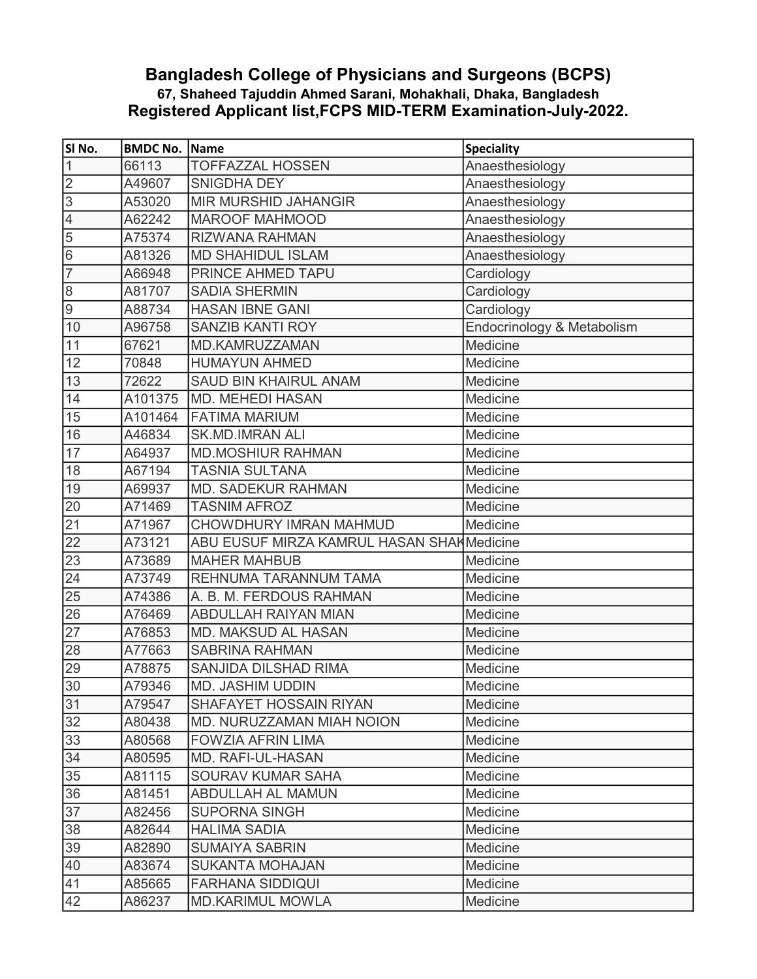## Bangladesh College of Physicians and Surgeons (BCPS) 67, Shaheed Tajuddin Ahmed Sarani, Mohakhali, Dhaka, Bangladesh Registered Applicant list,FCPS MID-TERM Examination-July-2022.

| SI No.           | <b>BMDC No. Name</b> |                                            | <b>Speciality</b>          |
|------------------|----------------------|--------------------------------------------|----------------------------|
| 1                | 66113                | <b>TOFFAZZAL HOSSEN</b>                    | Anaesthesiology            |
| $\overline{2}$   | A49607               | <b>SNIGDHA DEY</b>                         | Anaesthesiology            |
| $\overline{3}$   | A53020               | <b>MIR MURSHID JAHANGIR</b>                | Anaesthesiology            |
| $\overline{4}$   | A62242               | <b>MAROOF MAHMOOD</b>                      | Anaesthesiology            |
| 5                | A75374               | <b>RIZWANA RAHMAN</b>                      | Anaesthesiology            |
| 6                | A81326               | <b>MD SHAHIDUL ISLAM</b>                   | Anaesthesiology            |
| $\overline{7}$   | A66948               | PRINCE AHMED TAPU                          | Cardiology                 |
| $\,8\,$          | A81707               | <b>SADIA SHERMIN</b>                       | Cardiology                 |
| $\boldsymbol{9}$ | A88734               | <b>HASAN IBNE GANI</b>                     | Cardiology                 |
| 10               | A96758               | <b>SANZIB KANTI ROY</b>                    | Endocrinology & Metabolism |
| 11               | 67621                | MD.KAMRUZZAMAN                             | Medicine                   |
| 12               | 70848                | <b>HUMAYUN AHMED</b>                       | Medicine                   |
| $\overline{13}$  | 72622                | <b>SAUD BIN KHAIRUL ANAM</b>               | Medicine                   |
| 14               | A101375              | <b>MD. MEHEDI HASAN</b>                    | Medicine                   |
| 15               | A101464              | <b>FATIMA MARIUM</b>                       | Medicine                   |
| 16               | A46834               | <b>SK.MD.IMRAN ALI</b>                     | Medicine                   |
| 17               | A64937               | <b>MD.MOSHIUR RAHMAN</b>                   | Medicine                   |
| 18               | A67194               | <b>TASNIA SULTANA</b>                      | Medicine                   |
| 19               | A69937               | <b>MD. SADEKUR RAHMAN</b>                  | Medicine                   |
| 20               | A71469               | <b>TASNIM AFROZ</b>                        | Medicine                   |
| 21               | A71967               | CHOWDHURY IMRAN MAHMUD                     | Medicine                   |
| 22               | A73121               | ABU EUSUF MIRZA KAMRUL HASAN SHAH Medicine |                            |
| 23               | A73689               | <b>MAHER MAHBUB</b>                        | Medicine                   |
| 24               | A73749               | REHNUMA TARANNUM TAMA                      | Medicine                   |
| 25               | A74386               | A. B. M. FERDOUS RAHMAN                    | Medicine                   |
| 26               | A76469               | <b>ABDULLAH RAIYAN MIAN</b>                | Medicine                   |
| $\overline{27}$  | A76853               | <b>MD. MAKSUD AL HASAN</b>                 | Medicine                   |
| 28               | A77663               | <b>SABRINA RAHMAN</b>                      | Medicine                   |
| 29               | A78875               | <b>SANJIDA DILSHAD RIMA</b>                | Medicine                   |
| 30               | A79346               | <b>MD. JASHIM UDDIN</b>                    | Medicine                   |
| 31               | A79547               | <b>SHAFAYET HOSSAIN RIYAN</b>              | Medicine                   |
| 32               | A80438               | MD. NURUZZAMAN MIAH NOION                  | Medicine                   |
| 33               | A80568               | <b>FOWZIA AFRIN LIMA</b>                   | Medicine                   |
| 34               | A80595               | MD. RAFI-UL-HASAN                          | Medicine                   |
| 35               | A81115               | <b>SOURAV KUMAR SAHA</b>                   | Medicine                   |
| 36               | A81451               | <b>ABDULLAH AL MAMUN</b>                   | Medicine                   |
| 37               | A82456               | <b>SUPORNA SINGH</b>                       | Medicine                   |
| 38               | A82644               | <b>HALIMA SADIA</b>                        | Medicine                   |
| 39               | A82890               | <b>SUMAIYA SABRIN</b>                      | Medicine                   |
| 40               | A83674               | <b>SUKANTA MOHAJAN</b>                     | Medicine                   |
| 41               | A85665               | <b>FARHANA SIDDIQUI</b>                    | Medicine                   |
| 42               | A86237               | <b>MD.KARIMUL MOWLA</b>                    | Medicine                   |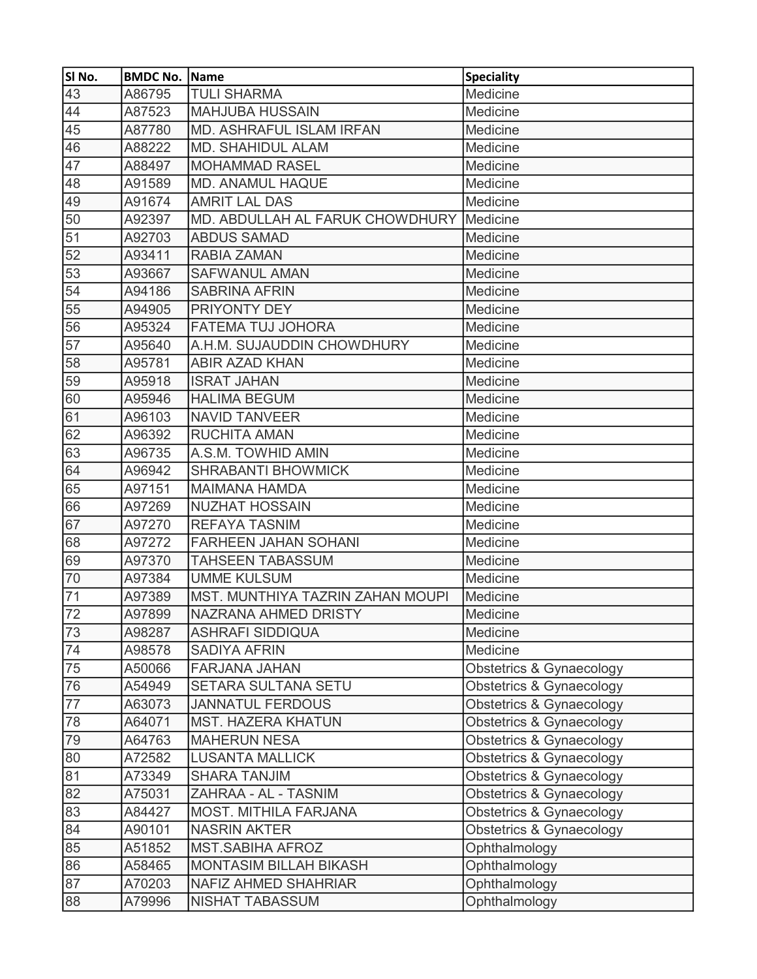| SI No.          | <b>BMDC No. Name</b> |                                         | <b>Speciality</b>        |
|-----------------|----------------------|-----------------------------------------|--------------------------|
| 43              | A86795               | <b>TULI SHARMA</b>                      | Medicine                 |
| 44              | A87523               | <b>MAHJUBA HUSSAIN</b>                  | Medicine                 |
| 45              | A87780               | <b>MD. ASHRAFUL ISLAM IRFAN</b>         | Medicine                 |
| 46              | A88222               | <b>MD. SHAHIDUL ALAM</b>                | Medicine                 |
| 47              | A88497               | <b>MOHAMMAD RASEL</b>                   | Medicine                 |
| 48              | A91589               | <b>MD. ANAMUL HAQUE</b>                 | Medicine                 |
| 49              | A91674               | <b>AMRIT LAL DAS</b>                    | Medicine                 |
| 50              | A92397               | MD. ABDULLAH AL FARUK CHOWDHURY         | Medicine                 |
| 51              | A92703               | <b>ABDUS SAMAD</b>                      | Medicine                 |
| 52              | A93411               | <b>RABIA ZAMAN</b>                      | Medicine                 |
| 53              | A93667               | <b>SAFWANUL AMAN</b>                    | Medicine                 |
| 54              | A94186               | <b>SABRINA AFRIN</b>                    | Medicine                 |
| 55              | A94905               | <b>PRIYONTY DEY</b>                     | Medicine                 |
| $\overline{56}$ | A95324               | <b>FATEMA TUJ JOHORA</b>                | Medicine                 |
| 57              | A95640               | A.H.M. SUJAUDDIN CHOWDHURY              | Medicine                 |
| 58              | A95781               | <b>ABIR AZAD KHAN</b>                   | Medicine                 |
| 59              | A95918               | <b>ISRAT JAHAN</b>                      | Medicine                 |
| 60              | A95946               | <b>HALIMA BEGUM</b>                     | Medicine                 |
| 61              | A96103               | <b>NAVID TANVEER</b>                    | Medicine                 |
| 62              | A96392               | <b>RUCHITA AMAN</b>                     | Medicine                 |
| 63              | A96735               | A.S.M. TOWHID AMIN                      | Medicine                 |
| 64              | A96942               | <b>SHRABANTI BHOWMICK</b>               | Medicine                 |
| 65              | A97151               | <b>MAIMANA HAMDA</b>                    | Medicine                 |
| 66              | A97269               | <b>NUZHAT HOSSAIN</b>                   | Medicine                 |
| 67              | A97270               | <b>REFAYA TASNIM</b>                    | Medicine                 |
| 68              | A97272               | <b>FARHEEN JAHAN SOHANI</b>             | Medicine                 |
| 69              | A97370               | <b>TAHSEEN TABASSUM</b>                 | Medicine                 |
| 70              | A97384               | <b>UMME KULSUM</b>                      | Medicine                 |
| 71              | A97389               | <b>MST. MUNTHIYA TAZRIN ZAHAN MOUPI</b> | Medicine                 |
| $\overline{72}$ | A97899               | NAZRANA AHMED DRISTY                    | Medicine                 |
| 73              | A98287               | <b>ASHRAFI SIDDIQUA</b>                 | Medicine                 |
| 74              | A98578               | <b>SADIYA AFRIN</b>                     | Medicine                 |
| 75              | A50066               | FARJANA JAHAN                           | Obstetrics & Gynaecology |
| 76              | A54949               | SETARA SULTANA SETU                     | Obstetrics & Gynaecology |
| $\overline{77}$ | A63073               | <b>JANNATUL FERDOUS</b>                 | Obstetrics & Gynaecology |
| 78              | A64071               | <b>MST. HAZERA KHATUN</b>               | Obstetrics & Gynaecology |
| 79              | A64763               | <b>MAHERUN NESA</b>                     | Obstetrics & Gynaecology |
| 80              | A72582               | <b>LUSANTA MALLICK</b>                  | Obstetrics & Gynaecology |
| 81              | A73349               | <b>SHARA TANJIM</b>                     | Obstetrics & Gynaecology |
| 82              | A75031               | ZAHRAA - AL - TASNIM                    | Obstetrics & Gynaecology |
| 83              | A84427               | <b>MOST. MITHILA FARJANA</b>            | Obstetrics & Gynaecology |
| 84              | A90101               | <b>NASRIN AKTER</b>                     | Obstetrics & Gynaecology |
| 85              | A51852               | <b>MST.SABIHA AFROZ</b>                 | Ophthalmology            |
| 86              | A58465               | <b>MONTASIM BILLAH BIKASH</b>           | Ophthalmology            |
| $\overline{87}$ | A70203               | <b>NAFIZ AHMED SHAHRIAR</b>             | Ophthalmology            |
| 88              | A79996               | <b>NISHAT TABASSUM</b>                  | Ophthalmology            |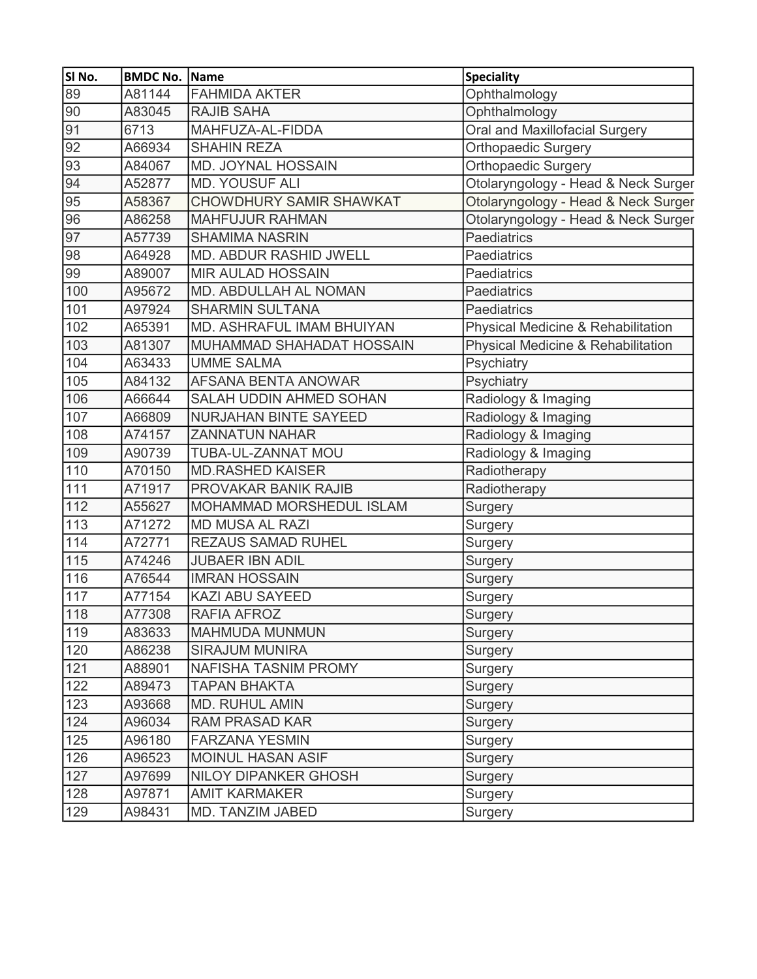| SI No.          | <b>BMDC No. Name</b> |                                 | <b>Speciality</b>                   |
|-----------------|----------------------|---------------------------------|-------------------------------------|
| 89              | A81144               | <b>FAHMIDA AKTER</b>            | Ophthalmology                       |
| 90              | A83045               | <b>RAJIB SAHA</b>               | Ophthalmology                       |
| 91              | 6713                 | MAHFUZA-AL-FIDDA                | Oral and Maxillofacial Surgery      |
| $\overline{92}$ | A66934               | <b>SHAHIN REZA</b>              | Orthopaedic Surgery                 |
| 93              | A84067               | <b>MD. JOYNAL HOSSAIN</b>       | Orthopaedic Surgery                 |
| 94              | A52877               | <b>MD. YOUSUF ALI</b>           | Otolaryngology - Head & Neck Surger |
| 95              | A58367               | CHOWDHURY SAMIR SHAWKAT         | Otolaryngology - Head & Neck Surger |
| 96              | A86258               | <b>MAHFUJUR RAHMAN</b>          | Otolaryngology - Head & Neck Surger |
| 97              | A57739               | <b>SHAMIMA NASRIN</b>           | <b>Paediatrics</b>                  |
| $\overline{98}$ | A64928               | MD. ABDUR RASHID JWELL          | <b>Paediatrics</b>                  |
| 99              | A89007               | <b>MIR AULAD HOSSAIN</b>        | Paediatrics                         |
| 100             | A95672               | MD. ABDULLAH AL NOMAN           | <b>Paediatrics</b>                  |
| 101             | A97924               | <b>SHARMIN SULTANA</b>          | <b>Paediatrics</b>                  |
| 102             | A65391               | MD. ASHRAFUL IMAM BHUIYAN       | Physical Medicine & Rehabilitation  |
| 103             | A81307               | MUHAMMAD SHAHADAT HOSSAIN       | Physical Medicine & Rehabilitation  |
| 104             | A63433               | <b>UMME SALMA</b>               | Psychiatry                          |
| 105             | A84132               | <b>AFSANA BENTA ANOWAR</b>      | Psychiatry                          |
| 106             | A66644               | SALAH UDDIN AHMED SOHAN         | Radiology & Imaging                 |
| 107             | A66809               | <b>NURJAHAN BINTE SAYEED</b>    | Radiology & Imaging                 |
| 108             | A74157               | <b>ZANNATUN NAHAR</b>           | Radiology & Imaging                 |
| 109             | A90739               | TUBA-UL-ZANNAT MOU              | Radiology & Imaging                 |
| 110             | A70150               | <b>MD.RASHED KAISER</b>         | Radiotherapy                        |
| 111             | A71917               | PROVAKAR BANIK RAJIB            | Radiotherapy                        |
| 112             | A55627               | <b>MOHAMMAD MORSHEDUL ISLAM</b> | Surgery                             |
| 113             | A71272               | <b>MD MUSA AL RAZI</b>          | Surgery                             |
| 114             | A72771               | <b>REZAUS SAMAD RUHEL</b>       | Surgery                             |
| 115             | A74246               | <b>JUBAER IBN ADIL</b>          | Surgery                             |
| 116             | A76544               | <b>IMRAN HOSSAIN</b>            | Surgery                             |
| 117             | A77154               | <b>KAZI ABU SAYEED</b>          | Surgery                             |
| 118             | A77308               | RAFIA AFROZ                     | Surgery                             |
| 119             | A83633               | <b>MAHMUDA MUNMUN</b>           | Surgery                             |
| 120             | A86238               | <b>SIRAJUM MUNIRA</b>           | Surgery                             |
| 121             | A88901               | NAFISHA TASNIM PROMY            | Surgery                             |
| 122             | A89473               | <b>TAPAN BHAKTA</b>             | Surgery                             |
| 123             | A93668               | <b>MD. RUHUL AMIN</b>           | Surgery                             |
| 124             | A96034               | <b>RAM PRASAD KAR</b>           | <b>Surgery</b>                      |
| 125             | A96180               | <b>FARZANA YESMIN</b>           | Surgery                             |
| 126             | A96523               | <b>MOINUL HASAN ASIF</b>        | Surgery                             |
| 127             | A97699               | <b>NILOY DIPANKER GHOSH</b>     | Surgery                             |
| 128             | A97871               | <b>AMIT KARMAKER</b>            | Surgery                             |
| 129             | A98431               | MD. TANZIM JABED                | Surgery                             |